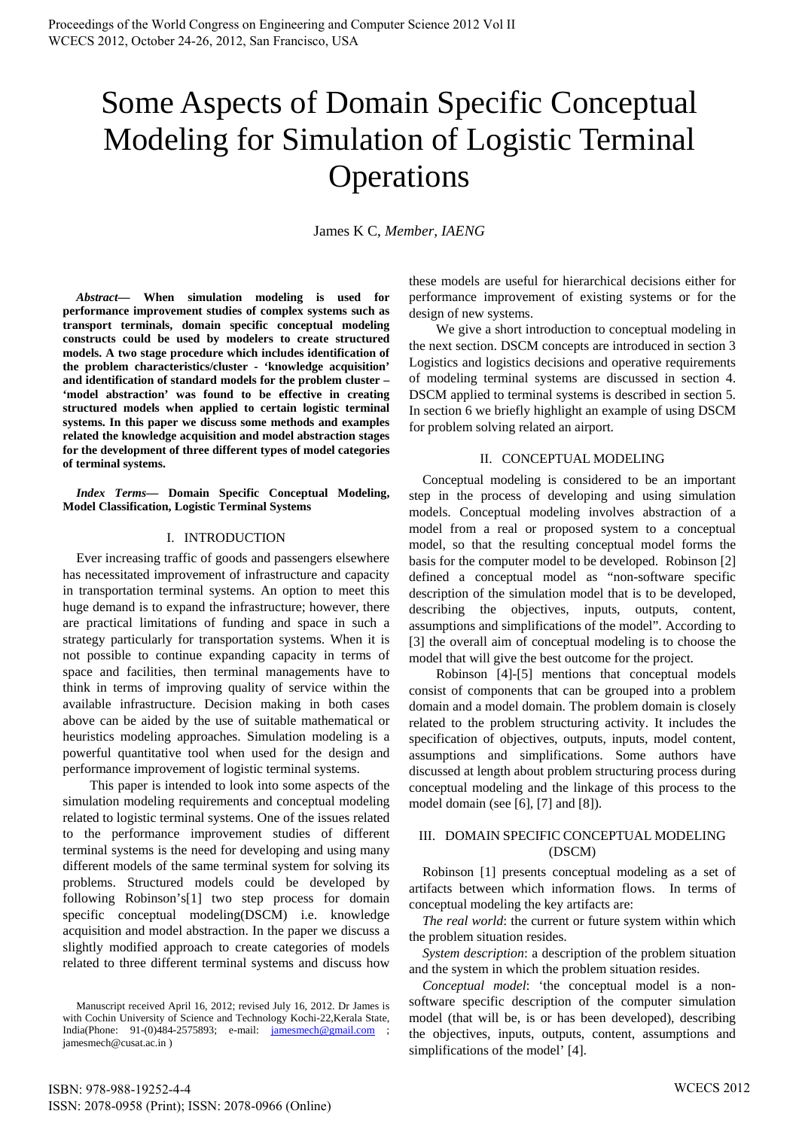# Some Aspects of Domain Specific Conceptual Modeling for Simulation of Logistic Terminal **Operations**

James K C, *Member, IAENG*

*Abstract***— When simulation modeling is used for performance improvement studies of complex systems such as transport terminals, domain specific conceptual modeling constructs could be used by modelers to create structured models. A two stage procedure which includes identification of the problem characteristics/cluster - 'knowledge acquisition' and identification of standard models for the problem cluster – 'model abstraction' was found to be effective in creating structured models when applied to certain logistic terminal systems. In this paper we discuss some methods and examples related the knowledge acquisition and model abstraction stages for the development of three different types of model categories of terminal systems.** 

*Index Terms***— Domain Specific Conceptual Modeling, Model Classification, Logistic Terminal Systems** 

### I. INTRODUCTION

Ever increasing traffic of goods and passengers elsewhere has necessitated improvement of infrastructure and capacity in transportation terminal systems. An option to meet this huge demand is to expand the infrastructure; however, there are practical limitations of funding and space in such a strategy particularly for transportation systems. When it is not possible to continue expanding capacity in terms of space and facilities, then terminal managements have to think in terms of improving quality of service within the available infrastructure. Decision making in both cases above can be aided by the use of suitable mathematical or heuristics modeling approaches. Simulation modeling is a powerful quantitative tool when used for the design and performance improvement of logistic terminal systems.

 This paper is intended to look into some aspects of the simulation modeling requirements and conceptual modeling related to logistic terminal systems. One of the issues related to the performance improvement studies of different terminal systems is the need for developing and using many different models of the same terminal system for solving its problems. Structured models could be developed by following Robinson's[1] two step process for domain specific conceptual modeling(DSCM) i.e. knowledge acquisition and model abstraction. In the paper we discuss a slightly modified approach to create categories of models related to three different terminal systems and discuss how these models are useful for hierarchical decisions either for performance improvement of existing systems or for the design of new systems.

 We give a short introduction to conceptual modeling in the next section. DSCM concepts are introduced in section 3 Logistics and logistics decisions and operative requirements of modeling terminal systems are discussed in section 4. DSCM applied to terminal systems is described in section 5. In section 6 we briefly highlight an example of using DSCM for problem solving related an airport.

#### II. CONCEPTUAL MODELING

Conceptual modeling is considered to be an important step in the process of developing and using simulation models. Conceptual modeling involves abstraction of a model from a real or proposed system to a conceptual model, so that the resulting conceptual model forms the basis for the computer model to be developed. Robinson [2] defined a conceptual model as "non-software specific description of the simulation model that is to be developed, describing the objectives, inputs, outputs, content, assumptions and simplifications of the model". According to [3] the overall aim of conceptual modeling is to choose the model that will give the best outcome for the project.

 Robinson [4]-[5] mentions that conceptual models consist of components that can be grouped into a problem domain and a model domain. The problem domain is closely related to the problem structuring activity. It includes the specification of objectives, outputs, inputs, model content, assumptions and simplifications. Some authors have discussed at length about problem structuring process during conceptual modeling and the linkage of this process to the model domain (see [6], [7] and [8]).

# III. DOMAIN SPECIFIC CONCEPTUAL MODELING (DSCM)

Robinson [1] presents conceptual modeling as a set of artifacts between which information flows. In terms of conceptual modeling the key artifacts are:

*The real world*: the current or future system within which the problem situation resides.

*System description*: a description of the problem situation and the system in which the problem situation resides.

*Conceptual model*: 'the conceptual model is a nonsoftware specific description of the computer simulation model (that will be, is or has been developed), describing the objectives, inputs, outputs, content, assumptions and simplifications of the model' [4].

Manuscript received April 16, 2012; revised July 16, 2012. Dr James is with Cochin University of Science and Technology Kochi-22,Kerala State, India(Phone: 91-(0)484-2575893; e-mail: jamesmech@gmail.com jamesmech@cusat.ac.in )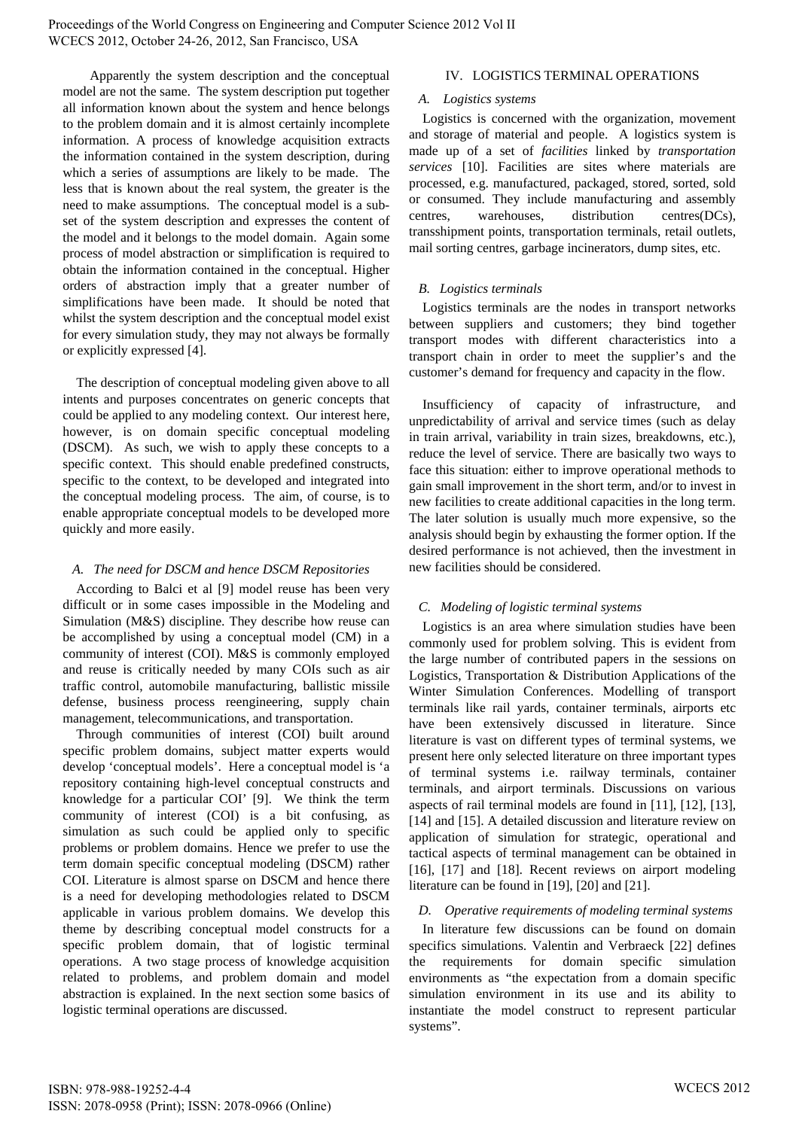Proceedings of the World Congress on Engineering and Computer Science 2012 Vol II WCECS 2012, October 24-26, 2012, San Francisco, USA

Apparently the system description and the conceptual model are not the same. The system description put together all information known about the system and hence belongs to the problem domain and it is almost certainly incomplete information. A process of knowledge acquisition extracts the information contained in the system description, during which a series of assumptions are likely to be made. The less that is known about the real system, the greater is the need to make assumptions. The conceptual model is a subset of the system description and expresses the content of the model and it belongs to the model domain. Again some process of model abstraction or simplification is required to obtain the information contained in the conceptual. Higher orders of abstraction imply that a greater number of simplifications have been made. It should be noted that whilst the system description and the conceptual model exist for every simulation study, they may not always be formally or explicitly expressed [4].

The description of conceptual modeling given above to all intents and purposes concentrates on generic concepts that could be applied to any modeling context. Our interest here, however, is on domain specific conceptual modeling (DSCM). As such, we wish to apply these concepts to a specific context. This should enable predefined constructs, specific to the context, to be developed and integrated into the conceptual modeling process. The aim, of course, is to enable appropriate conceptual models to be developed more quickly and more easily.

# *A. The need for DSCM and hence DSCM Repositories*

According to Balci et al [9] model reuse has been very difficult or in some cases impossible in the Modeling and Simulation (M&S) discipline. They describe how reuse can be accomplished by using a conceptual model (CM) in a community of interest (COI). M&S is commonly employed and reuse is critically needed by many COIs such as air traffic control, automobile manufacturing, ballistic missile defense, business process reengineering, supply chain management, telecommunications, and transportation.

Through communities of interest (COI) built around specific problem domains, subject matter experts would develop 'conceptual models'. Here a conceptual model is 'a repository containing high-level conceptual constructs and knowledge for a particular COI' [9]. We think the term community of interest (COI) is a bit confusing, as simulation as such could be applied only to specific problems or problem domains. Hence we prefer to use the term domain specific conceptual modeling (DSCM) rather COI. Literature is almost sparse on DSCM and hence there is a need for developing methodologies related to DSCM applicable in various problem domains. We develop this theme by describing conceptual model constructs for a specific problem domain, that of logistic terminal operations. A two stage process of knowledge acquisition related to problems, and problem domain and model abstraction is explained. In the next section some basics of logistic terminal operations are discussed.

## IV. LOGISTICS TERMINAL OPERATIONS

## *A. Logistics systems*

Logistics is concerned with the organization, movement and storage of material and people. A logistics system is made up of a set of *facilities* linked by *transportation services* [10]. Facilities are sites where materials are processed, e.g. manufactured, packaged, stored, sorted, sold or consumed. They include manufacturing and assembly centres, warehouses, distribution centres(DCs), transshipment points, transportation terminals, retail outlets, mail sorting centres, garbage incinerators, dump sites, etc.

# *B. Logistics terminals*

Logistics terminals are the nodes in transport networks between suppliers and customers; they bind together transport modes with different characteristics into a transport chain in order to meet the supplier's and the customer's demand for frequency and capacity in the flow.

Insufficiency of capacity of infrastructure, and unpredictability of arrival and service times (such as delay in train arrival, variability in train sizes, breakdowns, etc.), reduce the level of service. There are basically two ways to face this situation: either to improve operational methods to gain small improvement in the short term, and/or to invest in new facilities to create additional capacities in the long term. The later solution is usually much more expensive, so the analysis should begin by exhausting the former option. If the desired performance is not achieved, then the investment in new facilities should be considered.

# *C. Modeling of logistic terminal systems*

Logistics is an area where simulation studies have been commonly used for problem solving. This is evident from the large number of contributed papers in the sessions on Logistics, Transportation & Distribution Applications of the Winter Simulation Conferences. Modelling of transport terminals like rail yards, container terminals, airports etc have been extensively discussed in literature. Since literature is vast on different types of terminal systems, we present here only selected literature on three important types of terminal systems i.e. railway terminals, container terminals, and airport terminals. Discussions on various aspects of rail terminal models are found in [11], [12], [13], [14] and [15]. A detailed discussion and literature review on application of simulation for strategic, operational and tactical aspects of terminal management can be obtained in [16], [17] and [18]. Recent reviews on airport modeling literature can be found in [19], [20] and [21].

# *D. Operative requirements of modeling terminal systems*

In literature few discussions can be found on domain specifics simulations. Valentin and Verbraeck [22] defines the requirements for domain specific simulation environments as "the expectation from a domain specific simulation environment in its use and its ability to instantiate the model construct to represent particular systems".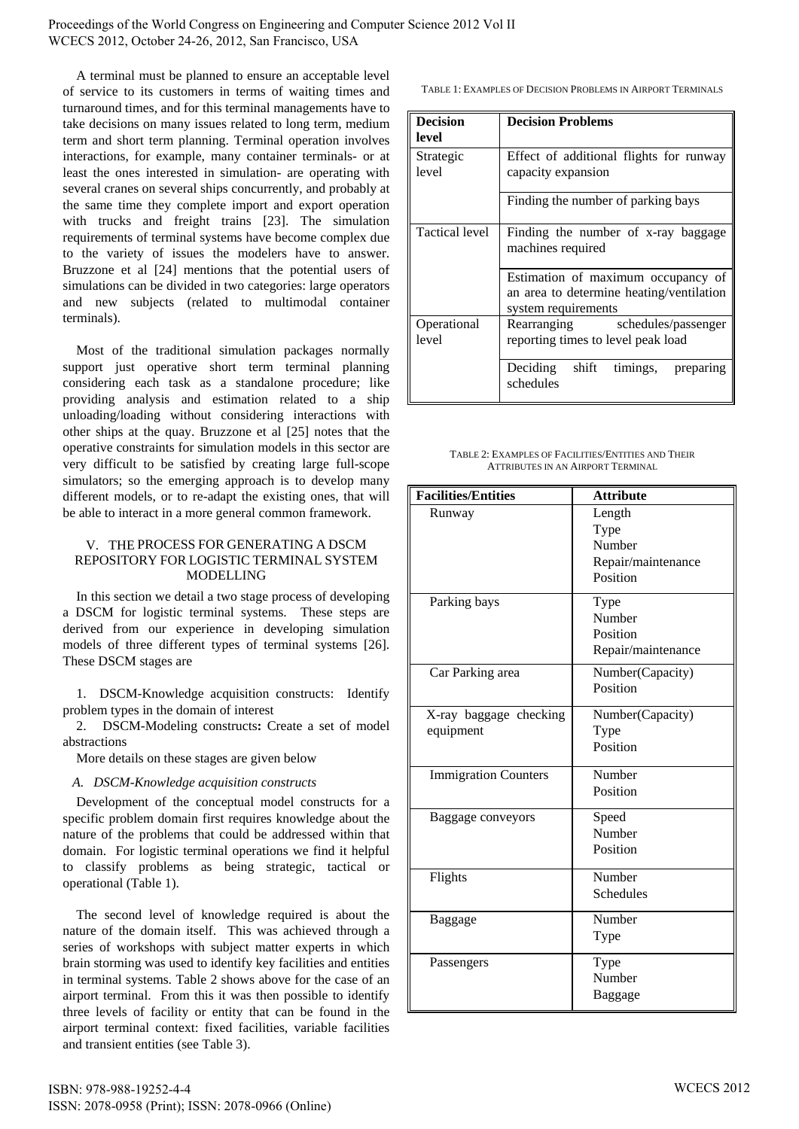Proceedings of the World Congress on Engineering and Computer Science 2012 Vol II WCECS 2012, October 24-26, 2012, San Francisco, USA

A terminal must be planned to ensure an acceptable level of service to its customers in terms of waiting times and turnaround times, and for this terminal managements have to take decisions on many issues related to long term, medium term and short term planning. Terminal operation involves interactions, for example, many container terminals- or at least the ones interested in simulation- are operating with several cranes on several ships concurrently, and probably at the same time they complete import and export operation with trucks and freight trains [23]. The simulation requirements of terminal systems have become complex due to the variety of issues the modelers have to answer. Bruzzone et al [24] mentions that the potential users of simulations can be divided in two categories: large operators and new subjects (related to multimodal container terminals).

Most of the traditional simulation packages normally support just operative short term terminal planning considering each task as a standalone procedure; like providing analysis and estimation related to a ship unloading/loading without considering interactions with other ships at the quay. Bruzzone et al [25] notes that the operative constraints for simulation models in this sector are very difficult to be satisfied by creating large full-scope simulators; so the emerging approach is to develop many different models, or to re-adapt the existing ones, that will be able to interact in a more general common framework.

## V. THE PROCESS FOR GENERATING A DSCM REPOSITORY FOR LOGISTIC TERMINAL SYSTEM MODELLING

In this section we detail a two stage process of developing a DSCM for logistic terminal systems. These steps are derived from our experience in developing simulation models of three different types of terminal systems [26]. These DSCM stages are

1. DSCM-Knowledge acquisition constructs: Identify problem types in the domain of interest

2. DSCM-Modeling constructs**:** Create a set of model abstractions

More details on these stages are given below

# *A. DSCM-Knowledge acquisition constructs*

Development of the conceptual model constructs for a specific problem domain first requires knowledge about the nature of the problems that could be addressed within that domain. For logistic terminal operations we find it helpful to classify problems as being strategic, tactical or operational (Table 1).

The second level of knowledge required is about the nature of the domain itself. This was achieved through a series of workshops with subject matter experts in which brain storming was used to identify key facilities and entities in terminal systems. Table 2 shows above for the case of an airport terminal. From this it was then possible to identify three levels of facility or entity that can be found in the airport terminal context: fixed facilities, variable facilities and transient entities (see Table 3).

TABLE 1: EXAMPLES OF DECISION PROBLEMS IN AIRPORT TERMINALS

| <b>Decision</b><br>level | <b>Decision Problems</b>                                                                              |  |  |  |  |
|--------------------------|-------------------------------------------------------------------------------------------------------|--|--|--|--|
| Strategic<br>level       | Effect of additional flights for runway<br>capacity expansion                                         |  |  |  |  |
|                          | Finding the number of parking bays                                                                    |  |  |  |  |
| <b>Tactical level</b>    | Finding the number of x-ray baggage<br>machines required                                              |  |  |  |  |
|                          | Estimation of maximum occupancy of<br>an area to determine heating/ventilation<br>system requirements |  |  |  |  |
| Operational<br>level     | Rearranging schedules/passenger<br>reporting times to level peak load                                 |  |  |  |  |
|                          | Deciding shift<br>timings, preparing<br>schedules                                                     |  |  |  |  |

TABLE 2: EXAMPLES OF FACILITIES/ENTITIES AND THEIR ATTRIBUTES IN AN AIRPORT TERMINAL

| <b>Facilities/Entities</b>  | <b>Attribute</b>   |  |  |
|-----------------------------|--------------------|--|--|
| Runway                      | Length<br>Type     |  |  |
|                             | Number             |  |  |
|                             | Repair/maintenance |  |  |
|                             | Position           |  |  |
| Parking bays                | Type               |  |  |
|                             | Number             |  |  |
|                             | Position           |  |  |
|                             | Repair/maintenance |  |  |
| Car Parking area            | Number(Capacity)   |  |  |
|                             | Position           |  |  |
| X-ray baggage checking      | Number(Capacity)   |  |  |
| equipment                   | Type               |  |  |
|                             | Position           |  |  |
| <b>Immigration Counters</b> | Number             |  |  |
|                             | Position           |  |  |
| Baggage conveyors           | Speed              |  |  |
|                             | Number             |  |  |
|                             | Position           |  |  |
| Flights                     | Number             |  |  |
|                             | Schedules          |  |  |
| Baggage                     | Number             |  |  |
|                             | Type               |  |  |
| Passengers                  | Type               |  |  |
|                             | Number             |  |  |
|                             | Baggage            |  |  |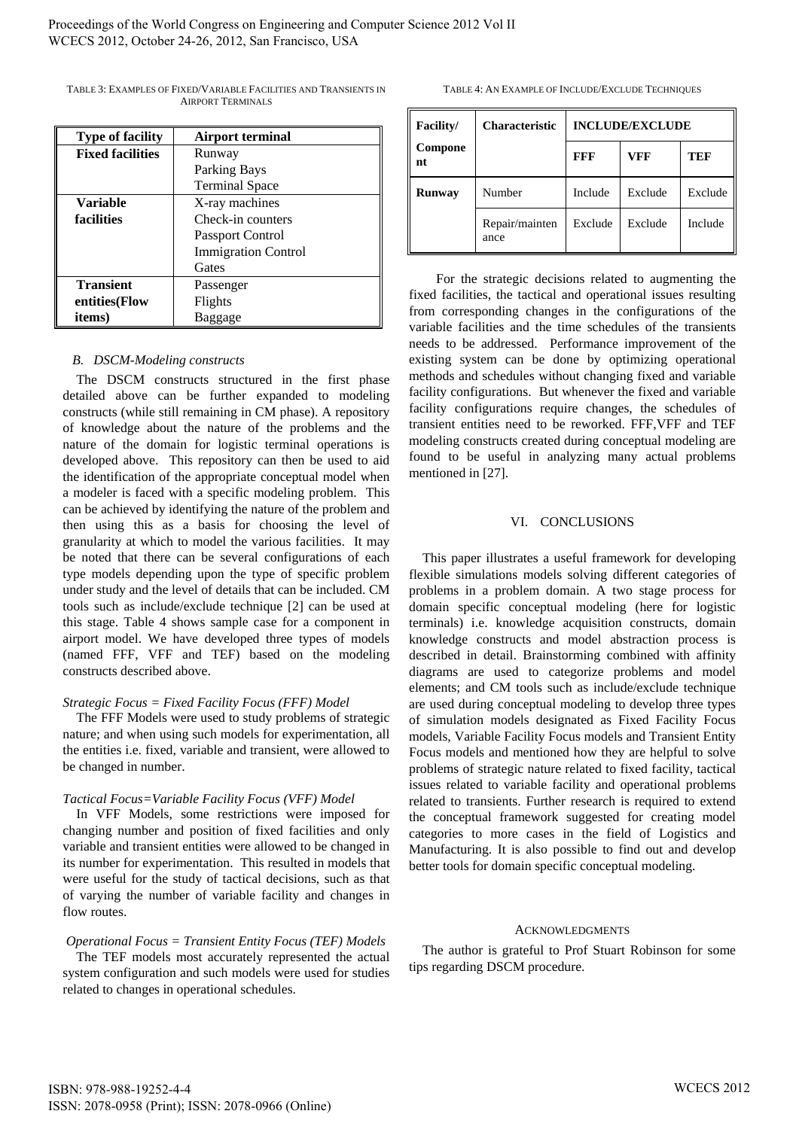| <b>Type of facility</b> | <b>Airport terminal</b>    |  |  |  |
|-------------------------|----------------------------|--|--|--|
| <b>Fixed facilities</b> | Runway                     |  |  |  |
|                         | Parking Bays               |  |  |  |
|                         | <b>Terminal Space</b>      |  |  |  |
| Variable                | X-ray machines             |  |  |  |
| <b>facilities</b>       | Check-in counters          |  |  |  |
|                         | <b>Passport Control</b>    |  |  |  |
|                         | <b>Immigration Control</b> |  |  |  |
|                         | Gates                      |  |  |  |
| <b>Transient</b>        | Passenger                  |  |  |  |
| entities(Flow           | Flights                    |  |  |  |
| items)                  | Baggage                    |  |  |  |

TABLE 3: EXAMPLES OF FIXED/VARIABLE FACILITIES AND TRANSIENTS IN AIRPORT TERMINALS

## *B. DSCM-Modeling constructs*

The DSCM constructs structured in the first phase detailed above can be further expanded to modeling constructs (while still remaining in CM phase). A repository of knowledge about the nature of the problems and the nature of the domain for logistic terminal operations is developed above. This repository can then be used to aid the identification of the appropriate conceptual model when a modeler is faced with a specific modeling problem. This can be achieved by identifying the nature of the problem and then using this as a basis for choosing the level of granularity at which to model the various facilities. It may be noted that there can be several configurations of each type models depending upon the type of specific problem under study and the level of details that can be included. CM tools such as include/exclude technique [2] can be used at this stage. Table 4 shows sample case for a component in airport model. We have developed three types of models (named FFF, VFF and TEF) based on the modeling constructs described above.

# *Strategic Focus = Fixed Facility Focus (FFF) Model*

The FFF Models were used to study problems of strategic nature; and when using such models for experimentation, all the entities i.e. fixed, variable and transient, were allowed to be changed in number.

# *Tactical Focus=Variable Facility Focus (VFF) Model*

In VFF Models, some restrictions were imposed for changing number and position of fixed facilities and only variable and transient entities were allowed to be changed in its number for experimentation. This resulted in models that were useful for the study of tactical decisions, such as that of varying the number of variable facility and changes in flow routes.

# *Operational Focus = Transient Entity Focus (TEF) Models*

The TEF models most accurately represented the actual system configuration and such models were used for studies related to changes in operational schedules.

TABLE 4: AN EXAMPLE OF INCLUDE/EXCLUDE TECHNIQUES

| Facility/     | <b>Characteristic</b>  | <b>INCLUDE/EXCLUDE</b> |         |         |
|---------------|------------------------|------------------------|---------|---------|
| Compone<br>nt |                        | <b>FFF</b>             | VFF     | TEF     |
| <b>Runway</b> | Number                 | Include                | Exclude | Exclude |
|               | Repair/mainten<br>ance | Exclude                | Exclude | Include |

 For the strategic decisions related to augmenting the fixed facilities, the tactical and operational issues resulting from corresponding changes in the configurations of the variable facilities and the time schedules of the transients needs to be addressed. Performance improvement of the existing system can be done by optimizing operational methods and schedules without changing fixed and variable facility configurations. But whenever the fixed and variable facility configurations require changes, the schedules of transient entities need to be reworked. FFF,VFF and TEF modeling constructs created during conceptual modeling are found to be useful in analyzing many actual problems mentioned in [27].

#### VI. CONCLUSIONS

This paper illustrates a useful framework for developing flexible simulations models solving different categories of problems in a problem domain. A two stage process for domain specific conceptual modeling (here for logistic terminals) i.e. knowledge acquisition constructs, domain knowledge constructs and model abstraction process is described in detail. Brainstorming combined with affinity diagrams are used to categorize problems and model elements; and CM tools such as include/exclude technique are used during conceptual modeling to develop three types of simulation models designated as Fixed Facility Focus models, Variable Facility Focus models and Transient Entity Focus models and mentioned how they are helpful to solve problems of strategic nature related to fixed facility, tactical issues related to variable facility and operational problems related to transients. Further research is required to extend the conceptual framework suggested for creating model categories to more cases in the field of Logistics and Manufacturing. It is also possible to find out and develop better tools for domain specific conceptual modeling.

#### ACKNOWLEDGMENTS

The author is grateful to Prof Stuart Robinson for some tips regarding DSCM procedure.